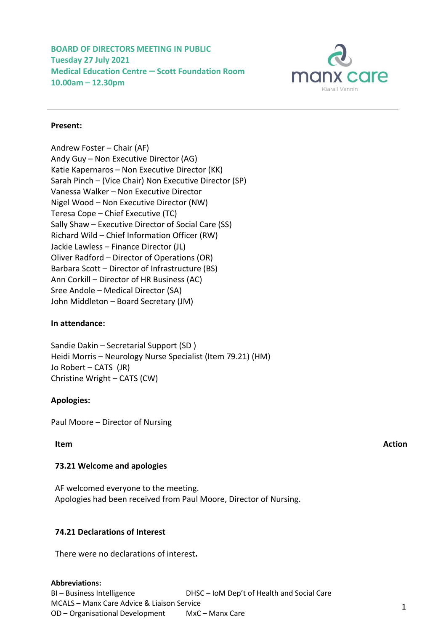**BOARD OF DIRECTORS MEETING IN PUBLIC Tuesday 27 July 2021 Medical Education Centre – Scott Foundation Room 10.00am – 12.30pm**



## **Present:**

Andrew Foster – Chair (AF) Andy Guy – Non Executive Director (AG) Katie Kapernaros – Non Executive Director (KK) Sarah Pinch – (Vice Chair) Non Executive Director (SP) Vanessa Walker – Non Executive Director Nigel Wood – Non Executive Director (NW) Teresa Cope – Chief Executive (TC) Sally Shaw – Executive Director of Social Care (SS) Richard Wild – Chief Information Officer (RW) Jackie Lawless – Finance Director (JL) Oliver Radford – Director of Operations (OR) Barbara Scott – Director of Infrastructure (BS) Ann Corkill – Director of HR Business (AC) Sree Andole – Medical Director (SA) John Middleton – Board Secretary (JM)

#### **In attendance:**

Sandie Dakin – Secretarial Support (SD ) Heidi Morris – Neurology Nurse Specialist (Item 79.21) (HM) Jo Robert – CATS (JR) Christine Wright – CATS (CW)

# **Apologies:**

Paul Moore – Director of Nursing

## **Item Action**

# **73.21 Welcome and apologies**

AF welcomed everyone to the meeting. Apologies had been received from Paul Moore, Director of Nursing.

# **74.21 Declarations of Interest**

There were no declarations of interest**.**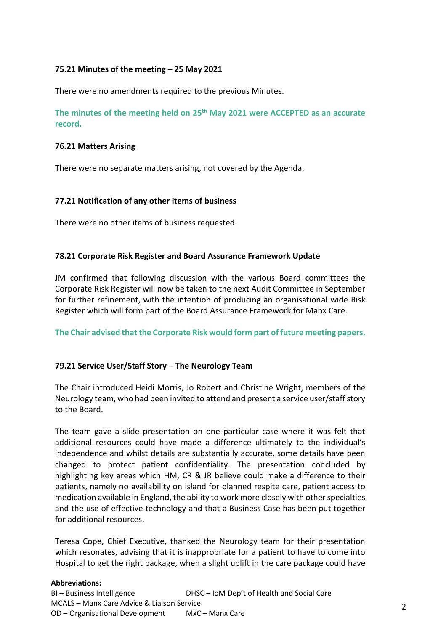# **75.21 Minutes of the meeting – 25 May 2021**

There were no amendments required to the previous Minutes.

**The minutes of the meeting held on 25th May 2021 were ACCEPTED as an accurate record.**

### **76.21 Matters Arising**

There were no separate matters arising, not covered by the Agenda.

## **77.21 Notification of any other items of business**

There were no other items of business requested.

## **78.21 Corporate Risk Register and Board Assurance Framework Update**

JM confirmed that following discussion with the various Board committees the Corporate Risk Register will now be taken to the next Audit Committee in September for further refinement, with the intention of producing an organisational wide Risk Register which will form part of the Board Assurance Framework for Manx Care.

**The Chair advised that the Corporate Risk would form part of future meeting papers.**

# **79.21 Service User/Staff Story – The Neurology Team**

The Chair introduced Heidi Morris, Jo Robert and Christine Wright, members of the Neurology team, who had been invited to attend and present a service user/staff story to the Board.

The team gave a slide presentation on one particular case where it was felt that additional resources could have made a difference ultimately to the individual's independence and whilst details are substantially accurate, some details have been changed to protect patient confidentiality. The presentation concluded by highlighting key areas which HM, CR & JR believe could make a difference to their patients, namely no availability on island for planned respite care, patient access to medication available in England, the ability to work more closely with other specialties and the use of effective technology and that a Business Case has been put together for additional resources.

Teresa Cope, Chief Executive, thanked the Neurology team for their presentation which resonates, advising that it is inappropriate for a patient to have to come into Hospital to get the right package, when a slight uplift in the care package could have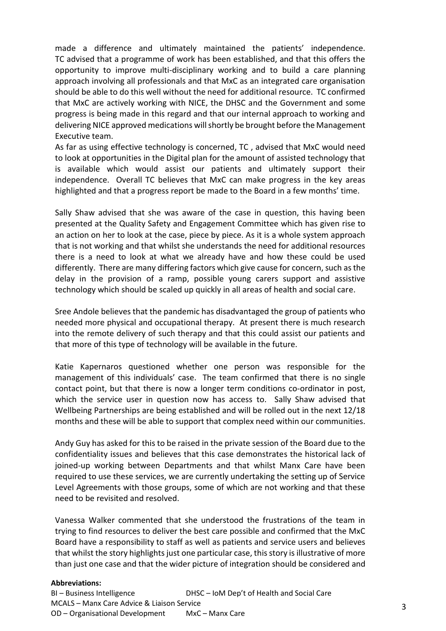made a difference and ultimately maintained the patients' independence. TC advised that a programme of work has been established, and that this offers the opportunity to improve multi-disciplinary working and to build a care planning approach involving all professionals and that MxC as an integrated care organisation should be able to do this well without the need for additional resource. TC confirmed that MxC are actively working with NICE, the DHSC and the Government and some progress is being made in this regard and that our internal approach to working and delivering NICE approved medications will shortly be brought before the Management Executive team.

As far as using effective technology is concerned, TC , advised that MxC would need to look at opportunities in the Digital plan for the amount of assisted technology that is available which would assist our patients and ultimately support their independence. Overall TC believes that MxC can make progress in the key areas highlighted and that a progress report be made to the Board in a few months' time.

Sally Shaw advised that she was aware of the case in question, this having been presented at the Quality Safety and Engagement Committee which has given rise to an action on her to look at the case, piece by piece. As it is a whole system approach that is not working and that whilst she understands the need for additional resources there is a need to look at what we already have and how these could be used differently. There are many differing factors which give cause for concern, such as the delay in the provision of a ramp, possible young carers support and assistive technology which should be scaled up quickly in all areas of health and social care.

Sree Andole believes that the pandemic has disadvantaged the group of patients who needed more physical and occupational therapy. At present there is much research into the remote delivery of such therapy and that this could assist our patients and that more of this type of technology will be available in the future.

Katie Kapernaros questioned whether one person was responsible for the management of this individuals' case. The team confirmed that there is no single contact point, but that there is now a longer term conditions co-ordinator in post, which the service user in question now has access to. Sally Shaw advised that Wellbeing Partnerships are being established and will be rolled out in the next 12/18 months and these will be able to support that complex need within our communities.

Andy Guy has asked for this to be raised in the private session of the Board due to the confidentiality issues and believes that this case demonstrates the historical lack of joined-up working between Departments and that whilst Manx Care have been required to use these services, we are currently undertaking the setting up of Service Level Agreements with those groups, some of which are not working and that these need to be revisited and resolved.

Vanessa Walker commented that she understood the frustrations of the team in trying to find resources to deliver the best care possible and confirmed that the MxC Board have a responsibility to staff as well as patients and service users and believes that whilst the story highlights just one particular case, this story is illustrative of more than just one case and that the wider picture of integration should be considered and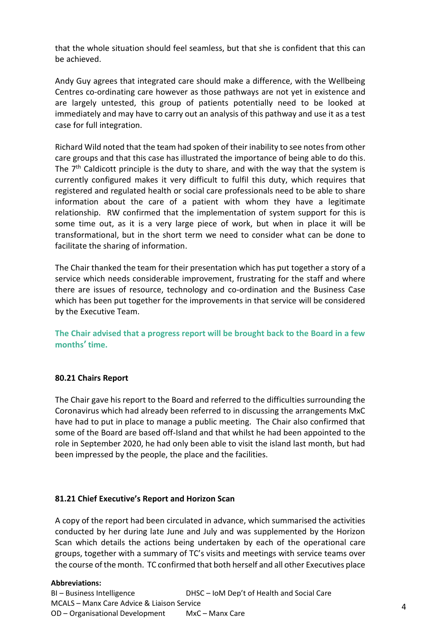that the whole situation should feel seamless, but that she is confident that this can be achieved.

Andy Guy agrees that integrated care should make a difference, with the Wellbeing Centres co-ordinating care however as those pathways are not yet in existence and are largely untested, this group of patients potentially need to be looked at immediately and may have to carry out an analysis of this pathway and use it as a test case for full integration.

Richard Wild noted that the team had spoken of their inability to see notes from other care groups and that this case has illustrated the importance of being able to do this. The 7<sup>th</sup> Caldicott principle is the duty to share, and with the way that the system is currently configured makes it very difficult to fulfil this duty, which requires that registered and regulated health or social care professionals need to be able to share information about the care of a patient with whom they have a legitimate relationship. RW confirmed that the implementation of system support for this is some time out, as it is a very large piece of work, but when in place it will be transformational, but in the short term we need to consider what can be done to facilitate the sharing of information.

The Chair thanked the team for their presentation which has put together a story of a service which needs considerable improvement, frustrating for the staff and where there are issues of resource, technology and co-ordination and the Business Case which has been put together for the improvements in that service will be considered by the Executive Team.

**The Chair advised that a progress report will be brought back to the Board in a few months' time.**

# **80.21 Chairs Report**

The Chair gave his report to the Board and referred to the difficulties surrounding the Coronavirus which had already been referred to in discussing the arrangements MxC have had to put in place to manage a public meeting. The Chair also confirmed that some of the Board are based off-Island and that whilst he had been appointed to the role in September 2020, he had only been able to visit the island last month, but had been impressed by the people, the place and the facilities.

#### **81.21 Chief Executive's Report and Horizon Scan**

A copy of the report had been circulated in advance, which summarised the activities conducted by her during late June and July and was supplemented by the Horizon Scan which details the actions being undertaken by each of the operational care groups, together with a summary of TC's visits and meetings with service teams over the course of the month. TC confirmed that both herself and all other Executives place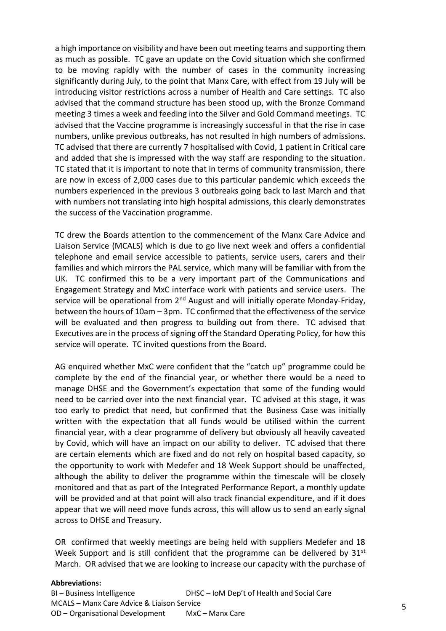a high importance on visibility and have been out meeting teams and supporting them as much as possible. TC gave an update on the Covid situation which she confirmed to be moving rapidly with the number of cases in the community increasing significantly during July, to the point that Manx Care, with effect from 19 July will be introducing visitor restrictions across a number of Health and Care settings. TC also advised that the command structure has been stood up, with the Bronze Command meeting 3 times a week and feeding into the Silver and Gold Command meetings. TC advised that the Vaccine programme is increasingly successful in that the rise in case numbers, unlike previous outbreaks, has not resulted in high numbers of admissions. TC advised that there are currently 7 hospitalised with Covid, 1 patient in Critical care and added that she is impressed with the way staff are responding to the situation. TC stated that it is important to note that in terms of community transmission, there are now in excess of 2,000 cases due to this particular pandemic which exceeds the numbers experienced in the previous 3 outbreaks going back to last March and that with numbers not translating into high hospital admissions, this clearly demonstrates the success of the Vaccination programme.

TC drew the Boards attention to the commencement of the Manx Care Advice and Liaison Service (MCALS) which is due to go live next week and offers a confidential telephone and email service accessible to patients, service users, carers and their families and which mirrors the PAL service, which many will be familiar with from the UK. TC confirmed this to be a very important part of the Communications and Engagement Strategy and MxC interface work with patients and service users. The service will be operational from 2<sup>nd</sup> August and will initially operate Monday-Friday, between the hours of 10am – 3pm. TC confirmed that the effectiveness of the service will be evaluated and then progress to building out from there. TC advised that Executives are in the process of signing off the Standard Operating Policy, for how this service will operate. TC invited questions from the Board.

AG enquired whether MxC were confident that the "catch up" programme could be complete by the end of the financial year, or whether there would be a need to manage DHSE and the Government's expectation that some of the funding would need to be carried over into the next financial year. TC advised at this stage, it was too early to predict that need, but confirmed that the Business Case was initially written with the expectation that all funds would be utilised within the current financial year, with a clear programme of delivery but obviously all heavily caveated by Covid, which will have an impact on our ability to deliver. TC advised that there are certain elements which are fixed and do not rely on hospital based capacity, so the opportunity to work with Medefer and 18 Week Support should be unaffected, although the ability to deliver the programme within the timescale will be closely monitored and that as part of the Integrated Performance Report, a monthly update will be provided and at that point will also track financial expenditure, and if it does appear that we will need move funds across, this will allow us to send an early signal across to DHSE and Treasury.

OR confirmed that weekly meetings are being held with suppliers Medefer and 18 Week Support and is still confident that the programme can be delivered by  $31^{st}$ March. OR advised that we are looking to increase our capacity with the purchase of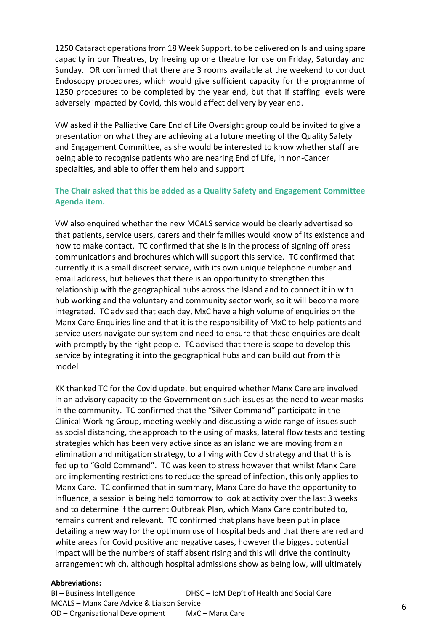1250 Cataract operations from 18 Week Support, to be delivered on Island using spare capacity in our Theatres, by freeing up one theatre for use on Friday, Saturday and Sunday. OR confirmed that there are 3 rooms available at the weekend to conduct Endoscopy procedures, which would give sufficient capacity for the programme of 1250 procedures to be completed by the year end, but that if staffing levels were adversely impacted by Covid, this would affect delivery by year end.

VW asked if the Palliative Care End of Life Oversight group could be invited to give a presentation on what they are achieving at a future meeting of the Quality Safety and Engagement Committee, as she would be interested to know whether staff are being able to recognise patients who are nearing End of Life, in non-Cancer specialties, and able to offer them help and support

# **The Chair asked that this be added as a Quality Safety and Engagement Committee Agenda item.**

VW also enquired whether the new MCALS service would be clearly advertised so that patients, service users, carers and their families would know of its existence and how to make contact. TC confirmed that she is in the process of signing off press communications and brochures which will support this service. TC confirmed that currently it is a small discreet service, with its own unique telephone number and email address, but believes that there is an opportunity to strengthen this relationship with the geographical hubs across the Island and to connect it in with hub working and the voluntary and community sector work, so it will become more integrated. TC advised that each day, MxC have a high volume of enquiries on the Manx Care Enquiries line and that it is the responsibility of MxC to help patients and service users navigate our system and need to ensure that these enquiries are dealt with promptly by the right people. TC advised that there is scope to develop this service by integrating it into the geographical hubs and can build out from this model

KK thanked TC for the Covid update, but enquired whether Manx Care are involved in an advisory capacity to the Government on such issues as the need to wear masks in the community. TC confirmed that the "Silver Command" participate in the Clinical Working Group, meeting weekly and discussing a wide range of issues such as social distancing, the approach to the using of masks, lateral flow tests and testing strategies which has been very active since as an island we are moving from an elimination and mitigation strategy, to a living with Covid strategy and that this is fed up to "Gold Command". TC was keen to stress however that whilst Manx Care are implementing restrictions to reduce the spread of infection, this only applies to Manx Care. TC confirmed that in summary, Manx Care do have the opportunity to influence, a session is being held tomorrow to look at activity over the last 3 weeks and to determine if the current Outbreak Plan, which Manx Care contributed to, remains current and relevant. TC confirmed that plans have been put in place detailing a new way for the optimum use of hospital beds and that there are red and white areas for Covid positive and negative cases, however the biggest potential impact will be the numbers of staff absent rising and this will drive the continuity arrangement which, although hospital admissions show as being low, will ultimately

#### **Abbreviations:**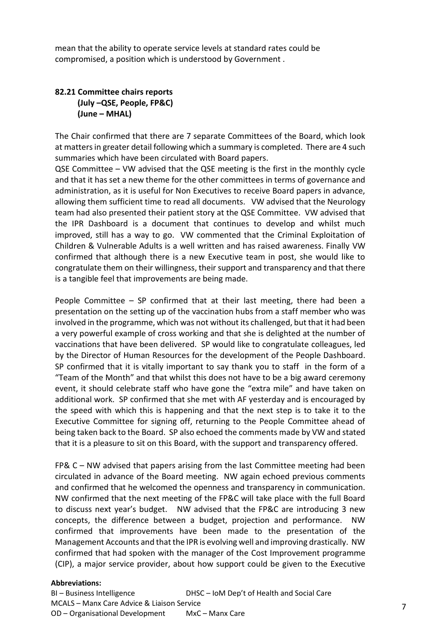mean that the ability to operate service levels at standard rates could be compromised, a position which is understood by Government .

# **82.21 Committee chairs reports (July –QSE, People, FP&C) (June – MHAL)**

The Chair confirmed that there are 7 separate Committees of the Board, which look at matters in greater detail following which a summary is completed. There are 4 such summaries which have been circulated with Board papers.

QSE Committee – VW advised that the QSE meeting is the first in the monthly cycle and that it has set a new theme for the other committees in terms of governance and administration, as it is useful for Non Executives to receive Board papers in advance, allowing them sufficient time to read all documents. VW advised that the Neurology team had also presented their patient story at the QSE Committee. VW advised that the IPR Dashboard is a document that continues to develop and whilst much improved, still has a way to go. VW commented that the Criminal Exploitation of Children & Vulnerable Adults is a well written and has raised awareness. Finally VW confirmed that although there is a new Executive team in post, she would like to congratulate them on their willingness, their support and transparency and that there is a tangible feel that improvements are being made.

People Committee – SP confirmed that at their last meeting, there had been a presentation on the setting up of the vaccination hubs from a staff member who was involved in the programme, which was not without its challenged, but that it had been a very powerful example of cross working and that she is delighted at the number of vaccinations that have been delivered. SP would like to congratulate colleagues, led by the Director of Human Resources for the development of the People Dashboard. SP confirmed that it is vitally important to say thank you to staff in the form of a "Team of the Month" and that whilst this does not have to be a big award ceremony event, it should celebrate staff who have gone the "extra mile" and have taken on additional work. SP confirmed that she met with AF yesterday and is encouraged by the speed with which this is happening and that the next step is to take it to the Executive Committee for signing off, returning to the People Committee ahead of being taken back to the Board. SP also echoed the comments made by VW and stated that it is a pleasure to sit on this Board, with the support and transparency offered.

FP& C – NW advised that papers arising from the last Committee meeting had been circulated in advance of the Board meeting. NW again echoed previous comments and confirmed that he welcomed the openness and transparency in communication. NW confirmed that the next meeting of the FP&C will take place with the full Board to discuss next year's budget. NW advised that the FP&C are introducing 3 new concepts, the difference between a budget, projection and performance. NW confirmed that improvements have been made to the presentation of the Management Accounts and that the IPR is evolving well and improving drastically. NW confirmed that had spoken with the manager of the Cost Improvement programme (CIP), a major service provider, about how support could be given to the Executive

#### **Abbreviations:**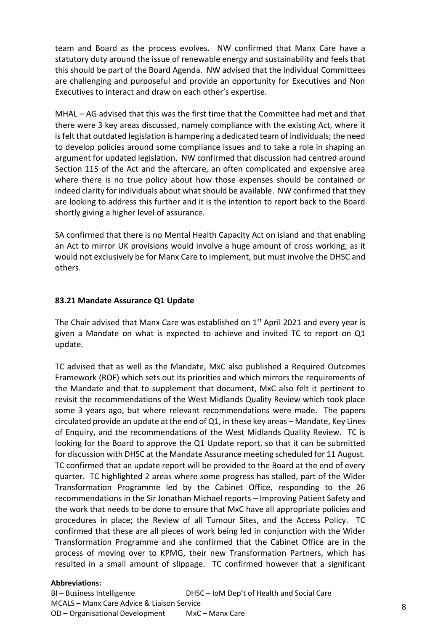team and Board as the process evolves. NW confirmed that Manx Care have a statutory duty around the issue of renewable energy and sustainability and feels that this should be part of the Board Agenda. NW advised that the individual Committees are challenging and purposeful and provide an opportunity for Executives and Non Executives to interact and draw on each other's expertise.

MHAL – AG advised that this was the first time that the Committee had met and that there were 3 key areas discussed, namely compliance with the existing Act, where it is felt that outdated legislation is hampering a dedicated team of individuals; the need to develop policies around some compliance issues and to take a role in shaping an argument for updated legislation. NW confirmed that discussion had centred around Section 115 of the Act and the aftercare, an often complicated and expensive area where there is no true policy about how those expenses should be contained or indeed clarity for individuals about what should be available. NW confirmed that they are looking to address this further and it is the intention to report back to the Board shortly giving a higher level of assurance.

SA confirmed that there is no Mental Health Capacity Act on island and that enabling an Act to mirror UK provisions would involve a huge amount of cross working, as it would not exclusively be for Manx Care to implement, but must involve the DHSC and others.

#### **83.21 Mandate Assurance Q1 Update**

The Chair advised that Manx Care was established on  $1<sup>st</sup>$  April 2021 and every year is given a Mandate on what is expected to achieve and invited TC to report on Q1 update.

TC advised that as well as the Mandate, MxC also published a Required Outcomes Framework (ROF) which sets out its priorities and which mirrors the requirements of the Mandate and that to supplement that document, MxC also felt it pertinent to revisit the recommendations of the West Midlands Quality Review which took place some 3 years ago, but where relevant recommendations were made. The papers circulated provide an update at the end of Q1, in these key areas – Mandate, Key Lines of Enquiry, and the recommendations of the West Midlands Quality Review. TC is looking for the Board to approve the Q1 Update report, so that it can be submitted for discussion with DHSC at the Mandate Assurance meeting scheduled for 11 August. TC confirmed that an update report will be provided to the Board at the end of every quarter. TC highlighted 2 areas where some progress has stalled, part of the Wider Transformation Programme led by the Cabinet Office, responding to the 26 recommendations in the Sir Jonathan Michael reports – Improving Patient Safety and the work that needs to be done to ensure that MxC have all appropriate policies and procedures in place; the Review of all Tumour Sites, and the Access Policy. TC confirmed that these are all pieces of work being led in conjunction with the Wider Transformation Programme and she confirmed that the Cabinet Office are in the process of moving over to KPMG, their new Transformation Partners, which has resulted in a small amount of slippage. TC confirmed however that a significant

#### **Abbreviations:**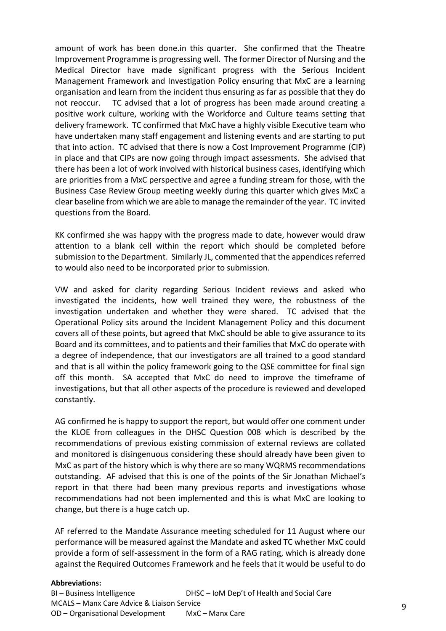amount of work has been done.in this quarter. She confirmed that the Theatre Improvement Programme is progressing well. The former Director of Nursing and the Medical Director have made significant progress with the Serious Incident Management Framework and Investigation Policy ensuring that MxC are a learning organisation and learn from the incident thus ensuring as far as possible that they do not reoccur. TC advised that a lot of progress has been made around creating a positive work culture, working with the Workforce and Culture teams setting that delivery framework. TC confirmed that MxC have a highly visible Executive team who have undertaken many staff engagement and listening events and are starting to put that into action. TC advised that there is now a Cost Improvement Programme (CIP) in place and that CIPs are now going through impact assessments. She advised that there has been a lot of work involved with historical business cases, identifying which are priorities from a MxC perspective and agree a funding stream for those, with the Business Case Review Group meeting weekly during this quarter which gives MxC a clear baseline from which we are able to manage the remainder of the year. TC invited questions from the Board.

KK confirmed she was happy with the progress made to date, however would draw attention to a blank cell within the report which should be completed before submission to the Department. Similarly JL, commented that the appendices referred to would also need to be incorporated prior to submission.

VW and asked for clarity regarding Serious Incident reviews and asked who investigated the incidents, how well trained they were, the robustness of the investigation undertaken and whether they were shared. TC advised that the Operational Policy sits around the Incident Management Policy and this document covers all of these points, but agreed that MxC should be able to give assurance to its Board and its committees, and to patients and their families that MxC do operate with a degree of independence, that our investigators are all trained to a good standard and that is all within the policy framework going to the QSE committee for final sign off this month. SA accepted that MxC do need to improve the timeframe of investigations, but that all other aspects of the procedure is reviewed and developed constantly.

AG confirmed he is happy to support the report, but would offer one comment under the KLOE from colleagues in the DHSC Question 008 which is described by the recommendations of previous existing commission of external reviews are collated and monitored is disingenuous considering these should already have been given to MxC as part of the history which is why there are so many WQRMS recommendations outstanding. AF advised that this is one of the points of the Sir Jonathan Michael's report in that there had been many previous reports and investigations whose recommendations had not been implemented and this is what MxC are looking to change, but there is a huge catch up.

AF referred to the Mandate Assurance meeting scheduled for 11 August where our performance will be measured against the Mandate and asked TC whether MxC could provide a form of self-assessment in the form of a RAG rating, which is already done against the Required Outcomes Framework and he feels that it would be useful to do

#### **Abbreviations:**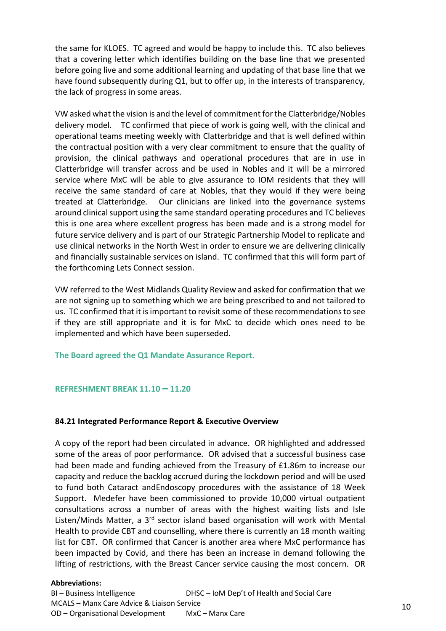the same for KLOES. TC agreed and would be happy to include this. TC also believes that a covering letter which identifies building on the base line that we presented before going live and some additional learning and updating of that base line that we have found subsequently during Q1, but to offer up, in the interests of transparency, the lack of progress in some areas.

VW asked what the vision is and the level of commitment for the Clatterbridge/Nobles delivery model. TC confirmed that piece of work is going well, with the clinical and operational teams meeting weekly with Clatterbridge and that is well defined within the contractual position with a very clear commitment to ensure that the quality of provision, the clinical pathways and operational procedures that are in use in Clatterbridge will transfer across and be used in Nobles and it will be a mirrored service where MxC will be able to give assurance to IOM residents that they will receive the same standard of care at Nobles, that they would if they were being treated at Clatterbridge. Our clinicians are linked into the governance systems around clinical support using the same standard operating procedures and TC believes this is one area where excellent progress has been made and is a strong model for future service delivery and is part of our Strategic Partnership Model to replicate and use clinical networks in the North West in order to ensure we are delivering clinically and financially sustainable services on island. TC confirmed that this will form part of the forthcoming Lets Connect session.

VW referred to the West Midlands Quality Review and asked for confirmation that we are not signing up to something which we are being prescribed to and not tailored to us. TC confirmed that it is important to revisit some of these recommendations to see if they are still appropriate and it is for MxC to decide which ones need to be implemented and which have been superseded.

**The Board agreed the Q1 Mandate Assurance Report.** 

#### **REFRESHMENT BREAK 11.10 – 11.20**

#### **84.21 Integrated Performance Report & Executive Overview**

A copy of the report had been circulated in advance. OR highlighted and addressed some of the areas of poor performance. OR advised that a successful business case had been made and funding achieved from the Treasury of £1.86m to increase our capacity and reduce the backlog accrued during the lockdown period and will be used to fund both Cataract andEndoscopy procedures with the assistance of 18 Week Support. Medefer have been commissioned to provide 10,000 virtual outpatient consultations across a number of areas with the highest waiting lists and Isle Listen/Minds Matter, a 3<sup>rd</sup> sector island based organisation will work with Mental Health to provide CBT and counselling, where there is currently an 18 month waiting list for CBT. OR confirmed that Cancer is another area where MxC performance has been impacted by Covid, and there has been an increase in demand following the lifting of restrictions, with the Breast Cancer service causing the most concern. OR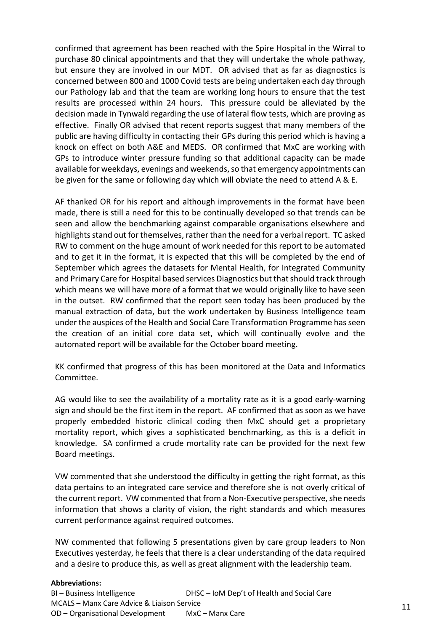confirmed that agreement has been reached with the Spire Hospital in the Wirral to purchase 80 clinical appointments and that they will undertake the whole pathway, but ensure they are involved in our MDT. OR advised that as far as diagnostics is concerned between 800 and 1000 Covid tests are being undertaken each day through our Pathology lab and that the team are working long hours to ensure that the test results are processed within 24 hours. This pressure could be alleviated by the decision made in Tynwald regarding the use of lateral flow tests, which are proving as effective. Finally OR advised that recent reports suggest that many members of the public are having difficulty in contacting their GPs during this period which is having a knock on effect on both A&E and MEDS. OR confirmed that MxC are working with GPs to introduce winter pressure funding so that additional capacity can be made available for weekdays, evenings and weekends, so that emergency appointments can be given for the same or following day which will obviate the need to attend A & E.

AF thanked OR for his report and although improvements in the format have been made, there is still a need for this to be continually developed so that trends can be seen and allow the benchmarking against comparable organisations elsewhere and highlights stand out for themselves, rather than the need for a verbal report. TC asked RW to comment on the huge amount of work needed for this report to be automated and to get it in the format, it is expected that this will be completed by the end of September which agrees the datasets for Mental Health, for Integrated Community and Primary Care for Hospital based services Diagnostics but that should track through which means we will have more of a format that we would originally like to have seen in the outset. RW confirmed that the report seen today has been produced by the manual extraction of data, but the work undertaken by Business Intelligence team under the auspices of the Health and Social Care Transformation Programme has seen the creation of an initial core data set, which will continually evolve and the automated report will be available for the October board meeting.

KK confirmed that progress of this has been monitored at the Data and Informatics Committee.

AG would like to see the availability of a mortality rate as it is a good early-warning sign and should be the first item in the report. AF confirmed that as soon as we have properly embedded historic clinical coding then MxC should get a proprietary mortality report, which gives a sophisticated benchmarking, as this is a deficit in knowledge. SA confirmed a crude mortality rate can be provided for the next few Board meetings.

VW commented that she understood the difficulty in getting the right format, as this data pertains to an integrated care service and therefore she is not overly critical of the current report. VW commented that from a Non-Executive perspective, she needs information that shows a clarity of vision, the right standards and which measures current performance against required outcomes.

NW commented that following 5 presentations given by care group leaders to Non Executives yesterday, he feels that there is a clear understanding of the data required and a desire to produce this, as well as great alignment with the leadership team.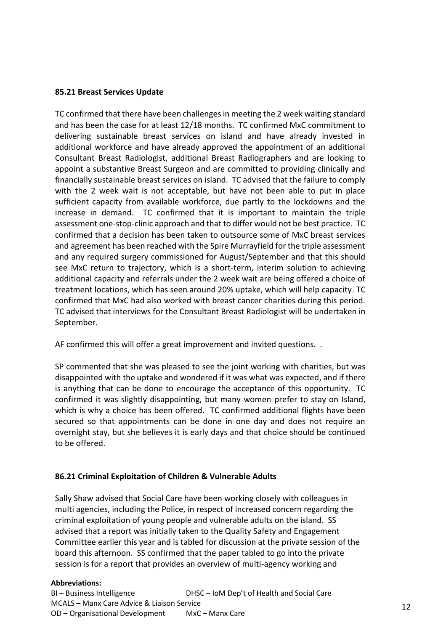# **85.21 Breast Services Update**

TC confirmed that there have been challenges in meeting the 2 week waiting standard and has been the case for at least 12/18 months. TC confirmed MxC commitment to delivering sustainable breast services on island and have already invested in additional workforce and have already approved the appointment of an additional Consultant Breast Radiologist, additional Breast Radiographers and are looking to appoint a substantive Breast Surgeon and are committed to providing clinically and financially sustainable breast services on island. TC advised that the failure to comply with the 2 week wait is not acceptable, but have not been able to put in place sufficient capacity from available workforce, due partly to the lockdowns and the increase in demand. TC confirmed that it is important to maintain the triple assessment one-stop-clinic approach and that to differ would not be best practice. TC confirmed that a decision has been taken to outsource some of MxC breast services and agreement has been reached with the Spire Murrayfield for the triple assessment and any required surgery commissioned for August/September and that this should see MxC return to trajectory, which is a short-term, interim solution to achieving additional capacity and referrals under the 2 week wait are being offered a choice of treatment locations, which has seen around 20% uptake, which will help capacity. TC confirmed that MxC had also worked with breast cancer charities during this period. TC advised that interviews for the Consultant Breast Radiologist will be undertaken in September.

AF confirmed this will offer a great improvement and invited questions. .

SP commented that she was pleased to see the joint working with charities, but was disappointed with the uptake and wondered if it was what was expected, and if there is anything that can be done to encourage the acceptance of this opportunity. TC confirmed it was slightly disappointing, but many women prefer to stay on Island, which is why a choice has been offered. TC confirmed additional flights have been secured so that appointments can be done in one day and does not require an overnight stay, but she believes it is early days and that choice should be continued to be offered.

# **86.21 Criminal Exploitation of Children & Vulnerable Adults**

Sally Shaw advised that Social Care have been working closely with colleagues in multi agencies, including the Police, in respect of increased concern regarding the criminal exploitation of young people and vulnerable adults on the island. SS advised that a report was initially taken to the Quality Safety and Engagement Committee earlier this year and is tabled for discussion at the private session of the board this afternoon. SS confirmed that the paper tabled to go into the private session is for a report that provides an overview of multi-agency working and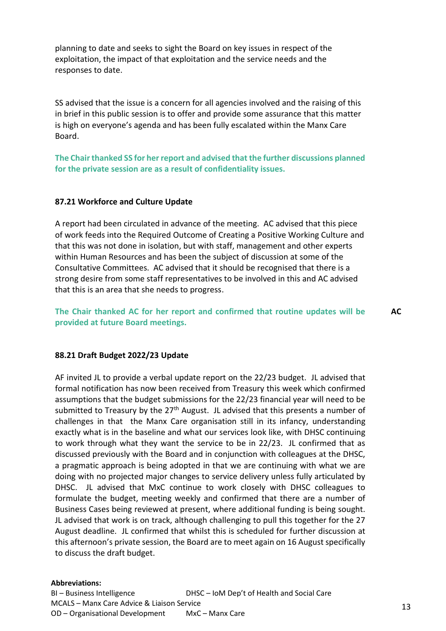planning to date and seeks to sight the Board on key issues in respect of the exploitation, the impact of that exploitation and the service needs and the responses to date.

SS advised that the issue is a concern for all agencies involved and the raising of this in brief in this public session is to offer and provide some assurance that this matter is high on everyone's agenda and has been fully escalated within the Manx Care Board.

**The Chair thanked SS for her report and advised that the further discussions planned for the private session are as a result of confidentiality issues.** 

#### **87.21 Workforce and Culture Update**

A report had been circulated in advance of the meeting. AC advised that this piece of work feeds into the Required Outcome of Creating a Positive Working Culture and that this was not done in isolation, but with staff, management and other experts within Human Resources and has been the subject of discussion at some of the Consultative Committees. AC advised that it should be recognised that there is a strong desire from some staff representatives to be involved in this and AC advised that this is an area that she needs to progress.

**The Chair thanked AC for her report and confirmed that routine updates will be provided at future Board meetings. AC**

#### **88.21 Draft Budget 2022/23 Update**

AF invited JL to provide a verbal update report on the 22/23 budget. JL advised that formal notification has now been received from Treasury this week which confirmed assumptions that the budget submissions for the 22/23 financial year will need to be submitted to Treasury by the  $27<sup>th</sup>$  August. JL advised that this presents a number of challenges in that the Manx Care organisation still in its infancy, understanding exactly what is in the baseline and what our services look like, with DHSC continuing to work through what they want the service to be in 22/23. JL confirmed that as discussed previously with the Board and in conjunction with colleagues at the DHSC, a pragmatic approach is being adopted in that we are continuing with what we are doing with no projected major changes to service delivery unless fully articulated by DHSC. JL advised that MxC continue to work closely with DHSC colleagues to formulate the budget, meeting weekly and confirmed that there are a number of Business Cases being reviewed at present, where additional funding is being sought. JL advised that work is on track, although challenging to pull this together for the 27 August deadline. JL confirmed that whilst this is scheduled for further discussion at this afternoon's private session, the Board are to meet again on 16 August specifically to discuss the draft budget.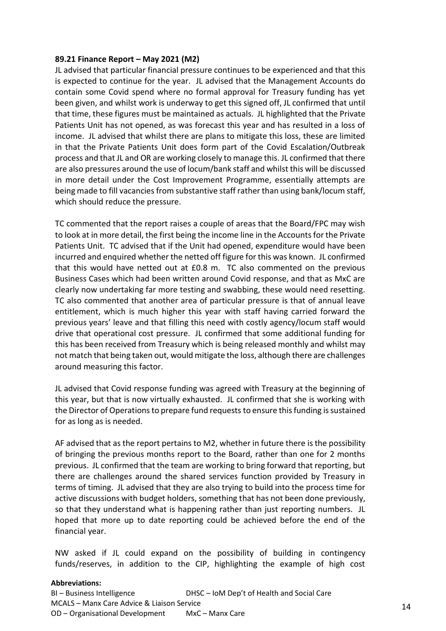## **89.21 Finance Report – May 2021 (M2)**

JL advised that particular financial pressure continues to be experienced and that this is expected to continue for the year. JL advised that the Management Accounts do contain some Covid spend where no formal approval for Treasury funding has yet been given, and whilst work is underway to get this signed off, JL confirmed that until that time, these figures must be maintained as actuals. JL highlighted that the Private Patients Unit has not opened, as was forecast this year and has resulted in a loss of income. JL advised that whilst there are plans to mitigate this loss, these are limited in that the Private Patients Unit does form part of the Covid Escalation/Outbreak process and that JL and OR are working closely to manage this. JL confirmed that there are also pressures around the use of locum/bank staff and whilst this will be discussed in more detail under the Cost Improvement Programme, essentially attempts are being made to fill vacancies from substantive staff rather than using bank/locum staff, which should reduce the pressure.

TC commented that the report raises a couple of areas that the Board/FPC may wish to look at in more detail, the first being the income line in the Accounts for the Private Patients Unit. TC advised that if the Unit had opened, expenditure would have been incurred and enquired whether the netted off figure for this was known. JL confirmed that this would have netted out at £0.8 m. TC also commented on the previous Business Cases which had been written around Covid response, and that as MxC are clearly now undertaking far more testing and swabbing, these would need resetting. TC also commented that another area of particular pressure is that of annual leave entitlement, which is much higher this year with staff having carried forward the previous years' leave and that filling this need with costly agency/locum staff would drive that operational cost pressure. JL confirmed that some additional funding for this has been received from Treasury which is being released monthly and whilst may not match that being taken out, would mitigate the loss, although there are challenges around measuring this factor.

JL advised that Covid response funding was agreed with Treasury at the beginning of this year, but that is now virtually exhausted. JL confirmed that she is working with the Director of Operations to prepare fund requests to ensure this funding is sustained for as long as is needed.

AF advised that as the report pertains to M2, whether in future there is the possibility of bringing the previous months report to the Board, rather than one for 2 months previous. JL confirmed that the team are working to bring forward that reporting, but there are challenges around the shared services function provided by Treasury in terms of timing. JL advised that they are also trying to build into the process time for active discussions with budget holders, something that has not been done previously, so that they understand what is happening rather than just reporting numbers. JL hoped that more up to date reporting could be achieved before the end of the financial year.

NW asked if JL could expand on the possibility of building in contingency funds/reserves, in addition to the CIP, highlighting the example of high cost

#### **Abbreviations:**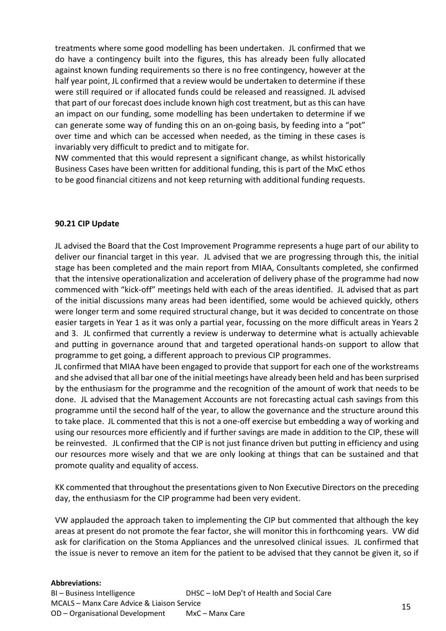treatments where some good modelling has been undertaken. JL confirmed that we do have a contingency built into the figures, this has already been fully allocated against known funding requirements so there is no free contingency, however at the half year point, JL confirmed that a review would be undertaken to determine if these were still required or if allocated funds could be released and reassigned. JL advised that part of our forecast does include known high cost treatment, but as this can have an impact on our funding, some modelling has been undertaken to determine if we can generate some way of funding this on an on-going basis, by feeding into a "pot" over time and which can be accessed when needed, as the timing in these cases is invariably very difficult to predict and to mitigate for.

NW commented that this would represent a significant change, as whilst historically Business Cases have been written for additional funding, this is part of the MxC ethos to be good financial citizens and not keep returning with additional funding requests.

# **90.21 CIP Update**

JL advised the Board that the Cost Improvement Programme represents a huge part of our ability to deliver our financial target in this year. JL advised that we are progressing through this, the initial stage has been completed and the main report from MIAA, Consultants completed, she confirmed that the intensive operationalization and acceleration of delivery phase of the programme had now commenced with "kick-off" meetings held with each of the areas identified. JL advised that as part of the initial discussions many areas had been identified, some would be achieved quickly, others were longer term and some required structural change, but it was decided to concentrate on those easier targets in Year 1 as it was only a partial year, focussing on the more difficult areas in Years 2 and 3. JL confirmed that currently a review is underway to determine what is actually achievable and putting in governance around that and targeted operational hands-on support to allow that programme to get going, a different approach to previous CIP programmes.

JL confirmed that MIAA have been engaged to provide that support for each one of the workstreams and she advised that all bar one of the initial meetings have already been held and has been surprised by the enthusiasm for the programme and the recognition of the amount of work that needs to be done. JL advised that the Management Accounts are not forecasting actual cash savings from this programme until the second half of the year, to allow the governance and the structure around this to take place. JL commented that this is not a one-off exercise but embedding a way of working and using our resources more efficiently and if further savings are made in addition to the CIP, these will be reinvested. JL confirmed that the CIP is not just finance driven but putting in efficiency and using our resources more wisely and that we are only looking at things that can be sustained and that promote quality and equality of access.

KK commented that throughout the presentations given to Non Executive Directors on the preceding day, the enthusiasm for the CIP programme had been very evident.

VW applauded the approach taken to implementing the CIP but commented that although the key areas at present do not promote the fear factor, she will monitor this in forthcoming years. VW did ask for clarification on the Stoma Appliances and the unresolved clinical issues. JL confirmed that the issue is never to remove an item for the patient to be advised that they cannot be given it, so if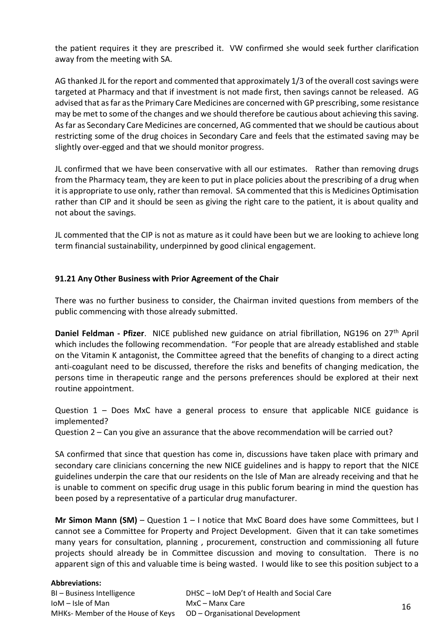the patient requires it they are prescribed it. VW confirmed she would seek further clarification away from the meeting with SA.

AG thanked JL for the report and commented that approximately 1/3 of the overall cost savings were targeted at Pharmacy and that if investment is not made first, then savings cannot be released. AG advised that as far as the Primary Care Medicines are concerned with GP prescribing, some resistance may be met to some of the changes and we should therefore be cautious about achieving this saving. As far as Secondary Care Medicines are concerned, AG commented that we should be cautious about restricting some of the drug choices in Secondary Care and feels that the estimated saving may be slightly over-egged and that we should monitor progress.

JL confirmed that we have been conservative with all our estimates. Rather than removing drugs from the Pharmacy team, they are keen to put in place policies about the prescribing of a drug when it is appropriate to use only, rather than removal. SA commented that this is Medicines Optimisation rather than CIP and it should be seen as giving the right care to the patient, it is about quality and not about the savings.

JL commented that the CIP is not as mature as it could have been but we are looking to achieve long term financial sustainability, underpinned by good clinical engagement.

# **91.21 Any Other Business with Prior Agreement of the Chair**

There was no further business to consider, the Chairman invited questions from members of the public commencing with those already submitted.

**Daniel Feldman - Pfizer**. NICE published new guidance on atrial fibrillation, NG196 on 27th April which includes the following recommendation. "For people that are already established and stable on the Vitamin K antagonist, the Committee agreed that the benefits of changing to a direct acting anti-coagulant need to be discussed, therefore the risks and benefits of changing medication, the persons time in therapeutic range and the persons preferences should be explored at their next routine appointment.

Question 1 – Does MxC have a general process to ensure that applicable NICE guidance is implemented?

Question 2 – Can you give an assurance that the above recommendation will be carried out?

SA confirmed that since that question has come in, discussions have taken place with primary and secondary care clinicians concerning the new NICE guidelines and is happy to report that the NICE guidelines underpin the care that our residents on the Isle of Man are already receiving and that he is unable to comment on specific drug usage in this public forum bearing in mind the question has been posed by a representative of a particular drug manufacturer.

**Mr Simon Mann (SM)** – Question 1 – I notice that MxC Board does have some Committees, but I cannot see a Committee for Property and Project Development. Given that it can take sometimes many years for consultation, planning , procurement, construction and commissioning all future projects should already be in Committee discussion and moving to consultation. There is no apparent sign of this and valuable time is being wasted. I would like to see this position subject to a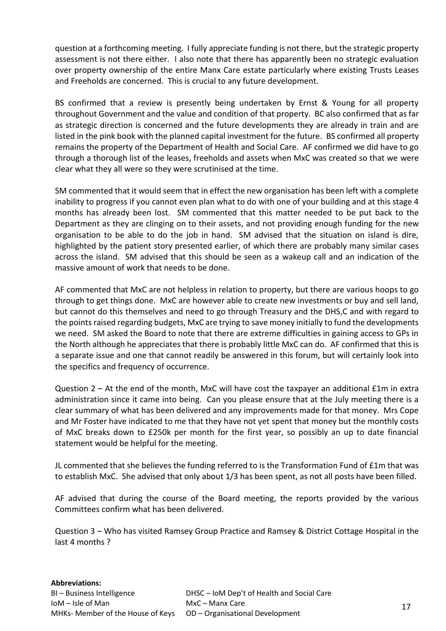question at a forthcoming meeting. I fully appreciate funding is not there, but the strategic property assessment is not there either. I also note that there has apparently been no strategic evaluation over property ownership of the entire Manx Care estate particularly where existing Trusts Leases and Freeholds are concerned. This is crucial to any future development.

BS confirmed that a review is presently being undertaken by Ernst & Young for all property throughout Government and the value and condition of that property. BC also confirmed that as far as strategic direction is concerned and the future developments they are already in train and are listed in the pink book with the planned capital investment for the future. BS confirmed all property remains the property of the Department of Health and Social Care. AF confirmed we did have to go through a thorough list of the leases, freeholds and assets when MxC was created so that we were clear what they all were so they were scrutinised at the time.

SM commented that it would seem that in effect the new organisation has been left with a complete inability to progress if you cannot even plan what to do with one of your building and at this stage 4 months has already been lost. SM commented that this matter needed to be put back to the Department as they are clinging on to their assets, and not providing enough funding for the new organisation to be able to do the job in hand. SM advised that the situation on island is dire, highlighted by the patient story presented earlier, of which there are probably many similar cases across the island. SM advised that this should be seen as a wakeup call and an indication of the massive amount of work that needs to be done.

AF commented that MxC are not helpless in relation to property, but there are various hoops to go through to get things done. MxC are however able to create new investments or buy and sell land, but cannot do this themselves and need to go through Treasury and the DHS,C and with regard to the points raised regarding budgets, MxC are trying to save money initially to fund the developments we need. SM asked the Board to note that there are extreme difficulties in gaining access to GPs in the North although he appreciates that there is probably little MxC can do. AF confirmed that this is a separate issue and one that cannot readily be answered in this forum, but will certainly look into the specifics and frequency of occurrence.

Question 2 – At the end of the month, MxC will have cost the taxpayer an additional £1m in extra administration since it came into being. Can you please ensure that at the July meeting there is a clear summary of what has been delivered and any improvements made for that money. Mrs Cope and Mr Foster have indicated to me that they have not yet spent that money but the monthly costs of MxC breaks down to £250k per month for the first year, so possibly an up to date financial statement would be helpful for the meeting.

JL commented that she believes the funding referred to is the Transformation Fund of £1m that was to establish MxC. She advised that only about 1/3 has been spent, as not all posts have been filled.

AF advised that during the course of the Board meeting, the reports provided by the various Committees confirm what has been delivered.

Question 3 – Who has visited Ramsey Group Practice and Ramsey & District Cottage Hospital in the last 4 months ?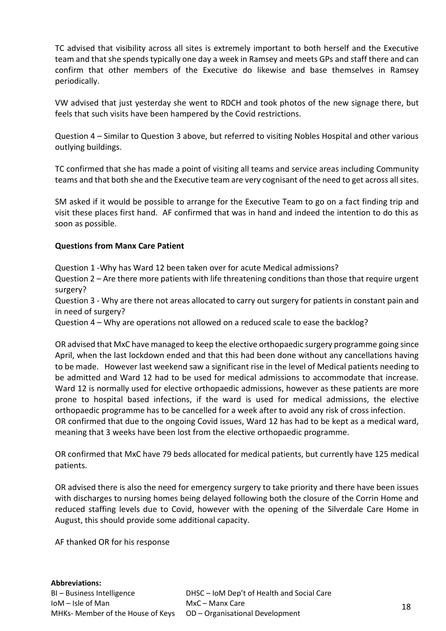TC advised that visibility across all sites is extremely important to both herself and the Executive team and that she spends typically one day a week in Ramsey and meets GPs and staff there and can confirm that other members of the Executive do likewise and base themselves in Ramsey periodically.

VW advised that just yesterday she went to RDCH and took photos of the new signage there, but feels that such visits have been hampered by the Covid restrictions.

Question 4 – Similar to Question 3 above, but referred to visiting Nobles Hospital and other various outlying buildings.

TC confirmed that she has made a point of visiting all teams and service areas including Community teams and that both she and the Executive team are very cognisant of the need to get across all sites.

SM asked if it would be possible to arrange for the Executive Team to go on a fact finding trip and visit these places first hand. AF confirmed that was in hand and indeed the intention to do this as soon as possible.

# **Questions from Manx Care Patient**

Question 1 -Why has Ward 12 been taken over for acute Medical admissions?

Question 2 – Are there more patients with life threatening conditions than those that require urgent surgery?

Question 3 - Why are there not areas allocated to carry out surgery for patients in constant pain and in need of surgery?

Question 4 – Why are operations not allowed on a reduced scale to ease the backlog?

OR advised that MxC have managed to keep the elective orthopaedic surgery programme going since April, when the last lockdown ended and that this had been done without any cancellations having to be made. However last weekend saw a significant rise in the level of Medical patients needing to be admitted and Ward 12 had to be used for medical admissions to accommodate that increase. Ward 12 is normally used for elective orthopaedic admissions, however as these patients are more prone to hospital based infections, if the ward is used for medical admissions, the elective orthopaedic programme has to be cancelled for a week after to avoid any risk of cross infection. OR confirmed that due to the ongoing Covid issues, Ward 12 has had to be kept as a medical ward, meaning that 3 weeks have been lost from the elective orthopaedic programme.

OR confirmed that MxC have 79 beds allocated for medical patients, but currently have 125 medical patients.

OR advised there is also the need for emergency surgery to take priority and there have been issues with discharges to nursing homes being delayed following both the closure of the Corrin Home and reduced staffing levels due to Covid, however with the opening of the Silverdale Care Home in August, this should provide some additional capacity.

AF thanked OR for his response